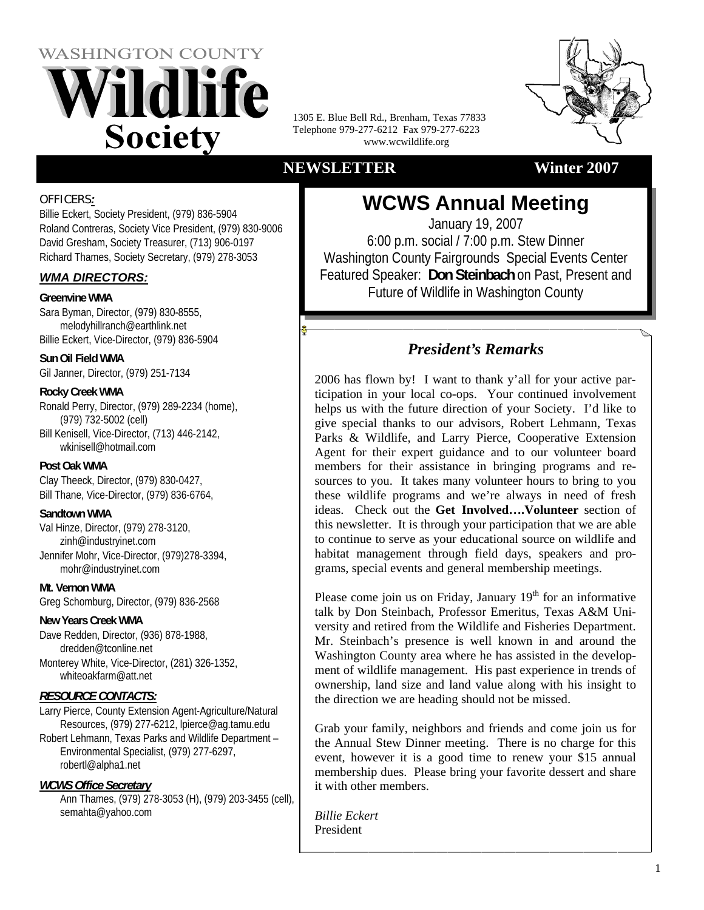



1305 E. Blue Bell Rd., Brenham, Texas 77833 Telephone 979-277-6212 Fax 979-277-6223 www.wcwildlife.org

## **NEWSLETTER Winter 2007**

### OFFICERS*:*

Billie Eckert, Society President, (979) 836-5904 Roland Contreras, Society Vice President, (979) 830-9006 David Gresham, Society Treasurer, (713) 906-0197 Richard Thames, Society Secretary, (979) 278-3053

## *WMA DIRECTORS:*

### **Greenvine WMA**

Sara Byman, Director, (979) 830-8555, melodyhillranch@earthlink.net Billie Eckert, Vice-Director, (979) 836-5904

**Sun Oil Field WMA**  Gil Janner, Director, (979) 251-7134

## **Rocky Creek WMA**

Ronald Perry, Director, (979) 289-2234 (home), (979) 732-5002 (cell) Bill Kenisell, Vice-Director, (713) 446-2142, wkinisell@hotmail.com

#### **Post Oak WMA**

Clay Theeck, Director, (979) 830-0427, Bill Thane, Vice-Director, (979) 836-6764,

## **Sandtown WMA**

Val Hinze, Director, (979) 278-3120, zinh@industryinet.com Jennifer Mohr, Vice-Director, (979)278-3394, mohr@industryinet.com

**Mt. Vernon WMA**  Greg Schomburg, Director, (979) 836-2568

## **New Years Creek WMA**

Dave Redden, Director, (936) 878-1988, dredden@tconline.net Monterey White, Vice-Director, (281) 326-1352, whiteoakfarm@att.net

## *RESOURCE CONTACTS:*

Larry Pierce, County Extension Agent-Agriculture/Natural Resources, (979) 277-6212, lpierce@ag.tamu.edu

Robert Lehmann, Texas Parks and Wildlife Department – Environmental Specialist, (979) 277-6297, robertl@alpha1.net

## *WCWS Office Secretary*

Ann Thames, (979) 278-3053 (H), (979) 203-3455 (cell), semahta@yahoo.com

**WCWS Annual Meeting**  January 19, 2007 6:00 p.m. social / 7:00 p.m. Stew Dinner Washington County Fairgrounds Special Events Center Featured Speaker: **Don Steinbach** on Past, Present and Future of Wildlife in Washington County

## *President's Remarks*

2006 has flown by! I want to thank y'all for your active participation in your local co-ops. Your continued involvement helps us with the future direction of your Society. I'd like to give special thanks to our advisors, Robert Lehmann, Texas Parks & Wildlife, and Larry Pierce, Cooperative Extension Agent for their expert guidance and to our volunteer board members for their assistance in bringing programs and resources to you. It takes many volunteer hours to bring to you these wildlife programs and we're always in need of fresh ideas. Check out the **Get Involved….Volunteer** section of this newsletter. It is through your participation that we are able to continue to serve as your educational source on wildlife and habitat management through field days, speakers and programs, special events and general membership meetings.

Please come join us on Friday, January  $19<sup>th</sup>$  for an informative talk by Don Steinbach, Professor Emeritus, Texas A&M University and retired from the Wildlife and Fisheries Department. Mr. Steinbach's presence is well known in and around the Washington County area where he has assisted in the development of wildlife management. His past experience in trends of ownership, land size and land value along with his insight to the direction we are heading should not be missed.

Grab your family, neighbors and friends and come join us for the Annual Stew Dinner meeting. There is no charge for this event, however it is a good time to renew your \$15 annual membership dues. Please bring your favorite dessert and share it with other members.

*Billie Eckert*  President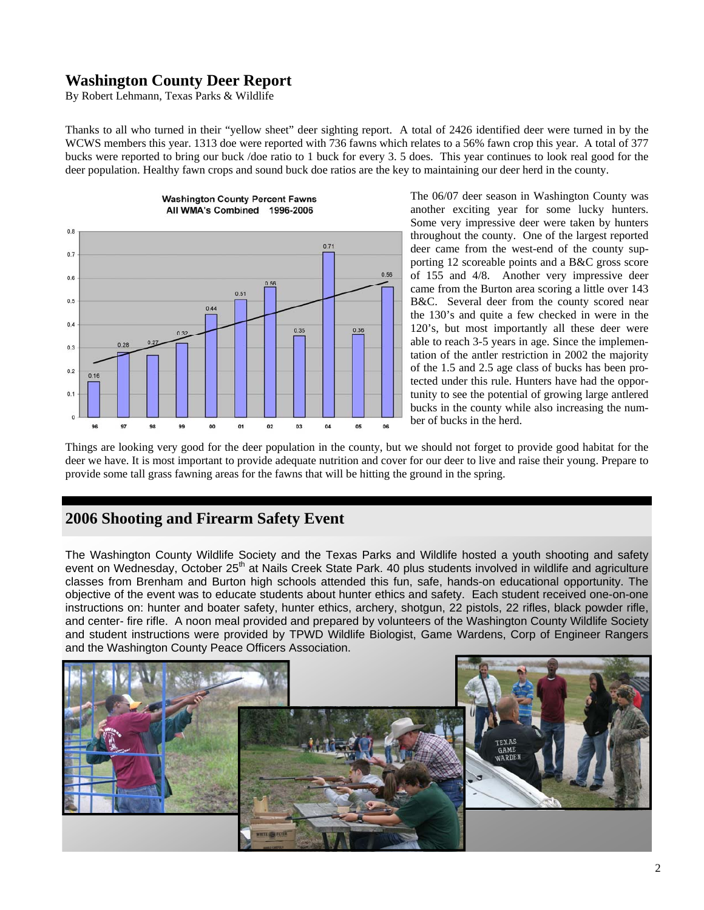## **Washington County Deer Report**

By Robert Lehmann, Texas Parks & Wildlife

Thanks to all who turned in their "yellow sheet" deer sighting report. A total of 2426 identified deer were turned in by the WCWS members this year. 1313 doe were reported with 736 fawns which relates to a 56% fawn crop this year. A total of 377 bucks were reported to bring our buck /doe ratio to 1 buck for every 3. 5 does. This year continues to look real good for the deer population. Healthy fawn crops and sound buck doe ratios are the key to maintaining our deer herd in the county.



The 06/07 deer season in Washington County was another exciting year for some lucky hunters. Some very impressive deer were taken by hunters throughout the county. One of the largest reported deer came from the west-end of the county supporting 12 scoreable points and a B&C gross score of 155 and 4/8. Another very impressive deer came from the Burton area scoring a little over 143 B&C. Several deer from the county scored near the 130's and quite a few checked in were in the 120's, but most importantly all these deer were able to reach 3-5 years in age. Since the implementation of the antler restriction in 2002 the majority of the 1.5 and 2.5 age class of bucks has been protected under this rule. Hunters have had the opportunity to see the potential of growing large antlered bucks in the county while also increasing the number of bucks in the herd.

Things are looking very good for the deer population in the county, but we should not forget to provide good habitat for the deer we have. It is most important to provide adequate nutrition and cover for our deer to live and raise their young. Prepare to provide some tall grass fawning areas for the fawns that will be hitting the ground in the spring.

## **2006 Shooting and Firearm Safety Event**

The Washington County Wildlife Society and the Texas Parks and Wildlife hosted a youth shooting and safety event on Wednesday, October 25<sup>th</sup> at Nails Creek State Park. 40 plus students involved in wildlife and agriculture classes from Brenham and Burton high schools attended this fun, safe, hands-on educational opportunity. The objective of the event was to educate students about hunter ethics and safety. Each student received one-on-one instructions on: hunter and boater safety, hunter ethics, archery, shotgun, 22 pistols, 22 rifles, black powder rifle, and center- fire rifle. A noon meal provided and prepared by volunteers of the Washington County Wildlife Society and student instructions were provided by TPWD Wildlife Biologist, Game Wardens, Corp of Engineer Rangers and the Washington County Peace Officers Association.

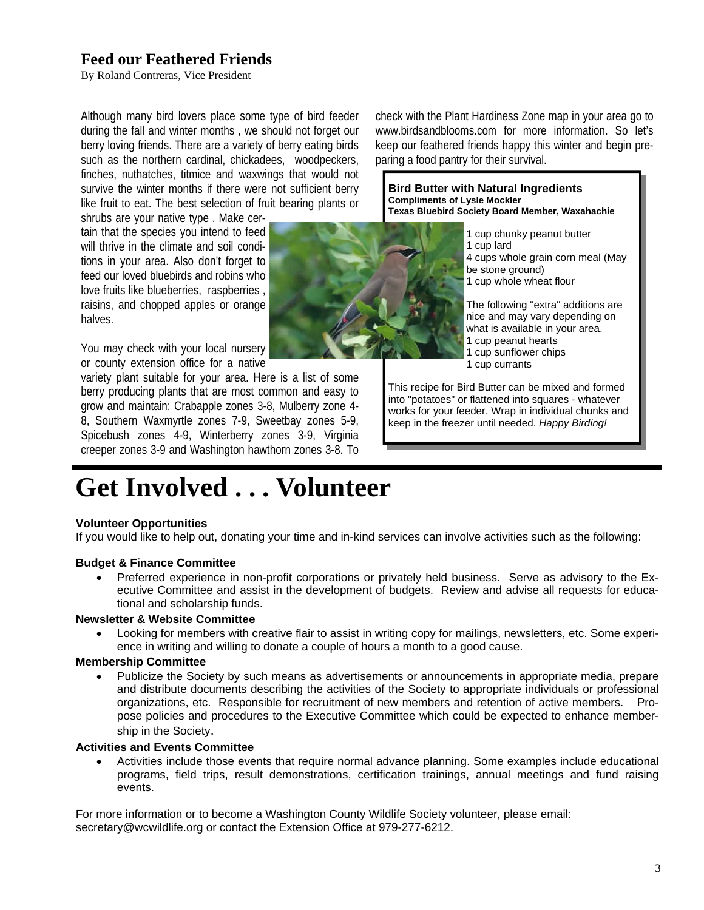## **Feed our Feathered Friends**

By Roland Contreras, Vice President

Although many bird lovers place some type of bird feeder during the fall and winter months , we should not forget our berry loving friends. There are a variety of berry eating birds such as the northern cardinal, chickadees, woodpeckers, finches, nuthatches, titmice and waxwings that would not survive the winter months if there were not sufficient berry like fruit to eat. The best selection of fruit bearing plants or

shrubs are your native type . Make certain that the species you intend to feed will thrive in the climate and soil conditions in your area. Also don't forget to feed our loved bluebirds and robins who love fruits like blueberries, raspberries , raisins, and chopped apples or orange halves.

You may check with your local nursery or county extension office for a native

variety plant suitable for your area. Here is a list of some berry producing plants that are most common and easy to grow and maintain: Crabapple zones 3-8, Mulberry zone 4- 8, Southern Waxmyrtle zones 7-9, Sweetbay zones 5-9, Spicebush zones 4-9, Winterberry zones 3-9, Virginia creeper zones 3-9 and Washington hawthorn zones 3-8. To



check with the Plant Hardiness Zone map in your area go to www.birdsandblooms.com for more information. So let's keep our feathered friends happy this winter and begin preparing a food pantry for their survival.

**Bird Butter with Natural Ingredients Compliments of Lysle Mockler Texas Bluebird Society Board Member, Waxahachie** 

> 1 cup chunky peanut butter 1 cup lard 4 cups whole grain corn meal (May be stone ground) 1 cup whole wheat flour

The following "extra" additions are nice and may vary depending on what is available in your area. 1 cup peanut hearts 1 cup sunflower chips 1 cup currants

This recipe for Bird Butter can be mixed and formed into "potatoes" or flattened into squares - whatever works for your feeder. Wrap in individual chunks and keep in the freezer until needed. *Happy Birding!* 

# **Get Involved . . . Volunteer**

#### **Volunteer Opportunities**

If you would like to help out, donating your time and in-kind services can involve activities such as the following:

#### **Budget & Finance Committee**

• Preferred experience in non-profit corporations or privately held business. Serve as advisory to the Executive Committee and assist in the development of budgets. Review and advise all requests for educational and scholarship funds.

#### **Newsletter & Website Committee**

• Looking for members with creative flair to assist in writing copy for mailings, newsletters, etc. Some experience in writing and willing to donate a couple of hours a month to a good cause.

#### **Membership Committee**

• Publicize the Society by such means as advertisements or announcements in appropriate media, prepare and distribute documents describing the activities of the Society to appropriate individuals or professional organizations, etc. Responsible for recruitment of new members and retention of active members. Propose policies and procedures to the Executive Committee which could be expected to enhance membership in the Society.

#### **Activities and Events Committee**

• Activities include those events that require normal advance planning. Some examples include educational programs, field trips, result demonstrations, certification trainings, annual meetings and fund raising events.

For more information or to become a Washington County Wildlife Society volunteer, please email: secretary@wcwildlife.org or contact the Extension Office at 979-277-6212.